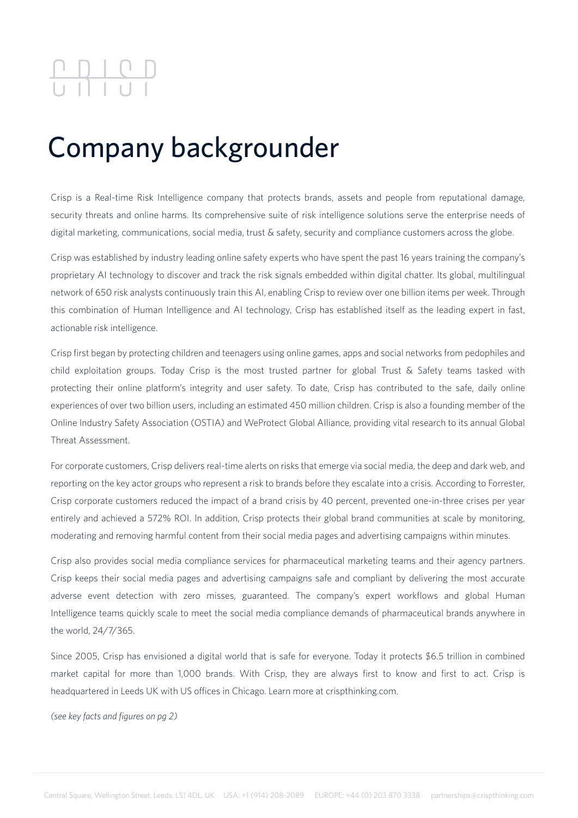# 

#### Company backgrounder

Crisp is a Real-time Risk Intelligence company that protects brands, assets and people from reputational damage, security threats and online harms. Its comprehensive suite of risk intelligence solutions serve the enterprise needs of digital marketing, communications, social media, trust & safety, security and compliance customers across the globe.

Crisp was established by industry leading online safety experts who have spent the past 16 years training the company's proprietary AI technology to discover and track the risk signals embedded within digital chatter. Its global, multilingual network of 650 risk analysts continuously train this AI, enabling Crisp to review over one billion items per week. Through this combination of Human Intelligence and AI technology, Crisp has established itself as the leading expert in fast, actionable risk intelligence.

Crisp first began by protecting children and teenagers using online games, apps and social networks from pedophiles and child exploitation groups. Today Crisp is the most trusted partner for global Trust & Safety teams tasked with protecting their online platform's integrity and user safety. To date, Crisp has contributed to the safe, daily online experiences of over two billion users, including an estimated 450 million children. Crisp is also a founding member of the Online Industry Safety Association (OSTIA) and WeProtect Global Alliance, providing vital research to its annual Global Threat Assessment.

For corporate customers, Crisp delivers real-time alerts on risks that emerge via social media, the deep and dark web, and reporting on the key actor groups who represent a risk to brands before they escalate into a crisis. According to Forrester, Crisp corporate customers reduced the impact of a brand crisis by 40 percent, prevented one-in-three crises per year entirely and achieved a 572% ROI. In addition, Crisp protects their global brand communities at scale by monitoring, moderating and removing harmful content from their social media pages and advertising campaigns within minutes.

Crisp also provides social media compliance services for pharmaceutical marketing teams and their agency partners. Crisp keeps their social media pages and advertising campaigns safe and compliant by delivering the most accurate adverse event detection with zero misses, guaranteed. The company's expert workflows and global Human Intelligence teams quickly scale to meet the social media compliance demands of pharmaceutical brands anywhere in the world, 24/7/365.

Since 2005, Crisp has envisioned a digital world that is safe for everyone. Today it protects \$6.5 trillion in combined market capital for more than 1,000 brands. With Crisp, they are always first to know and first to act. Crisp is headquartered in Leeds UK with US offices in Chicago. Learn more at crispthinking.com.

*(see key facts and figures on pg 2)*